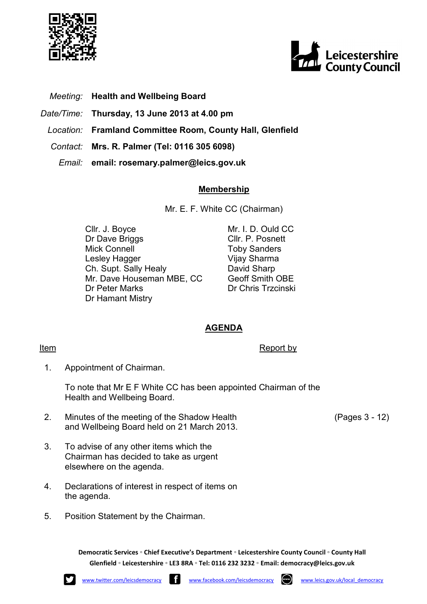



- Meeting: Health and Wellbeing Board
- Date/Time: Thursday, 13 June 2013 at 4.00 pm
- Location: Framland Committee Room, County Hall, Glenfield
- Contact: Mrs. R. Palmer (Tel: 0116 305 6098)
	- Email: email: rosemary.palmer@leics.gov.uk

## Membership

Mr. E. F. White CC (Chairman)

Cllr. J. Boyce Dr Dave Briggs Mick Connell Lesley Hagger Ch. Supt. Sally Healy Mr. Dave Houseman MBE, CC Dr Peter Marks Dr Hamant Mistry

Mr. I. D. Ould CC Cllr. P. Posnett Toby Sanders Vijay Sharma David Sharp Geoff Smith OBE Dr Chris Trzcinski

## AGENDA

## **Item** Report by

1. Appointment of Chairman.

> To note that Mr E F White CC has been appointed Chairman of the Health and Wellbeing Board.

- 2. Minutes of the meeting of the Shadow Health and Wellbeing Board held on 21 March 2013.
- 3. To advise of any other items which the Chairman has decided to take as urgent elsewhere on the agenda.
- 4. Declarations of interest in respect of items on the agenda.
- 5. Position Statement by the Chairman.

Democratic Services ◦ Chief Executive's Department ◦ Leicestershire County Council ◦ County Hall Glenfield ◦ Leicestershire ◦ LE3 8RA ◦ Tel: 0116 232 3232 ◦ Email: democracy@leics.gov.uk

(Pages 3 - 12)